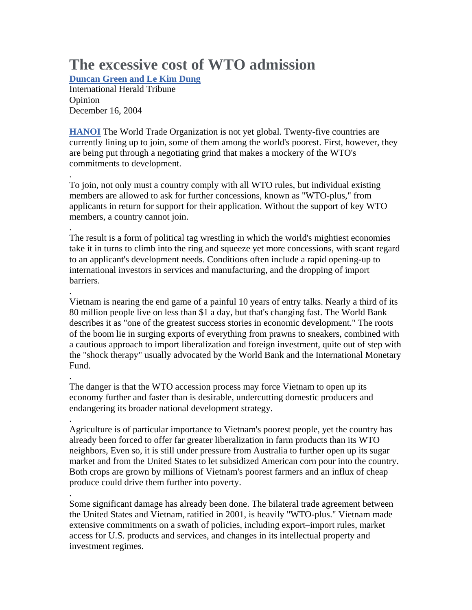## **The excessive cost of WTO admission**

**Duncan Green and Le Kim Dung**

International Herald Tribune Opinion December 16, 2004

.

.

.

.

.

**HANOI** The World Trade Organization is not yet global. Twenty-five countries are currently lining up to join, some of them among the world's poorest. First, however, they are being put through a negotiating grind that makes a mockery of the WTO's commitments to development.

. To join, not only must a country comply with all WTO rules, but individual existing members are allowed to ask for further concessions, known as "WTO-plus," from applicants in return for support for their application. Without the support of key WTO members, a country cannot join.

The result is a form of political tag wrestling in which the world's mightiest economies take it in turns to climb into the ring and squeeze yet more concessions, with scant regard to an applicant's development needs. Conditions often include a rapid opening-up to international investors in services and manufacturing, and the dropping of import barriers.

Vietnam is nearing the end game of a painful 10 years of entry talks. Nearly a third of its 80 million people live on less than \$1 a day, but that's changing fast. The World Bank describes it as "one of the greatest success stories in economic development." The roots of the boom lie in surging exports of everything from prawns to sneakers, combined with a cautious approach to import liberalization and foreign investment, quite out of step with the "shock therapy" usually advocated by the World Bank and the International Monetary Fund.

The danger is that the WTO accession process may force Vietnam to open up its economy further and faster than is desirable, undercutting domestic producers and endangering its broader national development strategy.

Agriculture is of particular importance to Vietnam's poorest people, yet the country has already been forced to offer far greater liberalization in farm products than its WTO neighbors, Even so, it is still under pressure from Australia to further open up its sugar market and from the United States to let subsidized American corn pour into the country. Both crops are grown by millions of Vietnam's poorest farmers and an influx of cheap produce could drive them further into poverty.

Some significant damage has already been done. The bilateral trade agreement between the United States and Vietnam, ratified in 2001, is heavily "WTO-plus." Vietnam made extensive commitments on a swath of policies, including export–import rules, market access for U.S. products and services, and changes in its intellectual property and investment regimes.